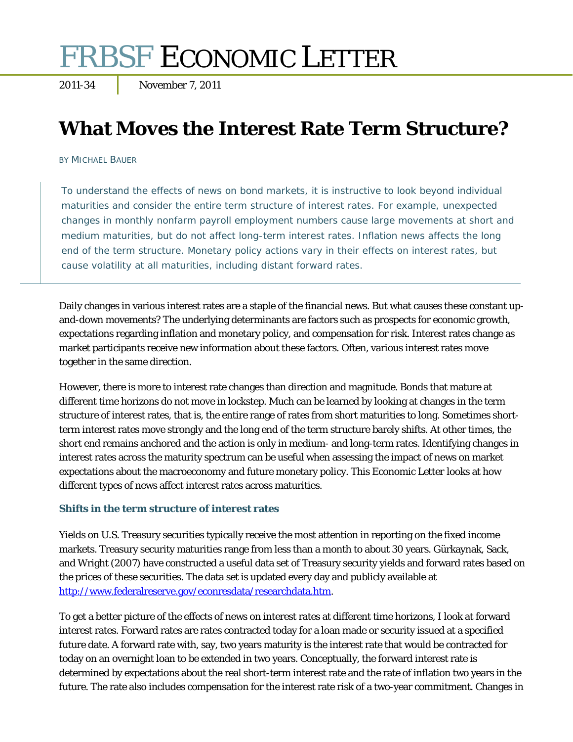# **FRBSF ECONOMIC LETTER**

# **What Moves the Interest Rate Term Structure?**

#### BY MICHAEL BAUER

To understand the effects of news on bond markets, it is instructive to look beyond individual maturities and consider the entire term structure of interest rates. For example, unexpected changes in monthly nonfarm payroll employment numbers cause large movements at short and medium maturities, but do not affect long-term interest rates. Inflation news affects the long end of the term structure. Monetary policy actions vary in their effects on interest rates, but cause volatility at all maturities, including distant forward rates.

Daily changes in various interest rates are a staple of the financial news. But what causes these constant upand-down movements? The underlying determinants are factors such as prospects for economic growth, expectations regarding inflation and monetary policy, and compensation for risk. Interest rates change as market participants receive new information about these factors. Often, various interest rates move together in the same direction.

However, there is more to interest rate changes than direction and magnitude. Bonds that mature at different time horizons do not move in lockstep. Much can be learned by looking at changes in the term structure of interest rates, that is, the entire range of rates from short maturities to long. Sometimes shortterm interest rates move strongly and the long end of the term structure barely shifts. At other times, the short end remains anchored and the action is only in medium- and long-term rates. Identifying changes in interest rates across the maturity spectrum can be useful when assessing the impact of news on market expectations about the macroeconomy and future monetary policy. This *Economic Letter* looks at how different types of news affect interest rates across maturities.

## **Shifts in the term structure of interest rates**

Yields on U.S. Treasury securities typically receive the most attention in reporting on the fixed income markets. Treasury security maturities range from less than a month to about 30 years. Gürkaynak, Sack, and Wright (2007) have constructed a useful data set of Treasury security yields and forward rates based on the prices of these securities. The data set is updated every day and publicly available at http://www.federalreserve.gov/econresdata/researchdata.htm.

To get a better picture of the effects of news on interest rates at different time horizons, I look at forward interest rates. Forward rates are rates contracted today for a loan made or security issued at a specified future date. A forward rate with, say, two years maturity is the interest rate that would be contracted for today on an overnight loan to be extended in two years. Conceptually, the forward interest rate is determined by expectations about the real short-term interest rate and the rate of inflation two years in the future. The rate also includes compensation for the interest rate risk of a two-year commitment. Changes in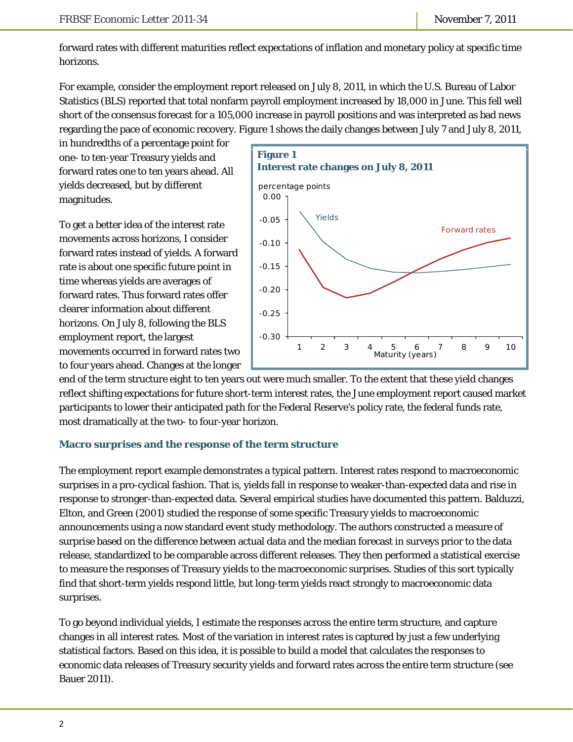forward rates with different maturities reflect expectations of inflation and monetary policy at specific time horizons.

For example, consider the employment report released on July 8, 2011, in which the U.S. Bureau of Labor Statistics (BLS) reported that total nonfarm payroll employment increased by 18,000 in June. This fell well short of the consensus forecast for a 105,000 increase in payroll positions and was interpreted as bad news regarding the pace of economic recovery. Figure 1 shows the daily changes between July 7 and July 8, 2011,

in hundredths of a percentage point for one- to ten-year Treasury yields and forward rates one to ten years ahead. All yields decreased, but by different magnitudes.

To get a better idea of the interest rate movements across horizons, I consider forward rates instead of yields. A forward rate is about one specific future point in time whereas yields are averages of forward rates. Thus forward rates offer clearer information about different horizons. On July 8, following the BLS employment report, the largest movements occurred in forward rates two to four years ahead. Changes at the longer



end of the term structure eight to ten years out were much smaller. To the extent that these yield changes reflect shifting expectations for future short-term interest rates, the June employment report caused market participants to lower their anticipated path for the Federal Reserve's policy rate, the federal funds rate, most dramatically at the two- to four-year horizon.

## **Macro surprises and the response of the term structure**

The employment report example demonstrates a typical pattern. Interest rates respond to macroeconomic surprises in a pro-cyclical fashion. That is, yields fall in response to weaker-than-expected data and rise in response to stronger-than-expected data. Several empirical studies have documented this pattern. Balduzzi, Elton, and Green (2001) studied the response of some specific Treasury yields to macroeconomic announcements using a now standard event study methodology. The authors constructed a measure of surprise based on the difference between actual data and the median forecast in surveys prior to the data release, standardized to be comparable across different releases. They then performed a statistical exercise to measure the responses of Treasury yields to the macroeconomic surprises. Studies of this sort typically find that short-term yields respond little, but long-term yields react strongly to macroeconomic data surprises.

To go beyond individual yields, I estimate the responses across the entire term structure, and capture changes in all interest rates. Most of the variation in interest rates is captured by just a few underlying statistical factors. Based on this idea, it is possible to build a model that calculates the responses to economic data releases of Treasury security yields and forward rates across the entire term structure (see Bauer 2011).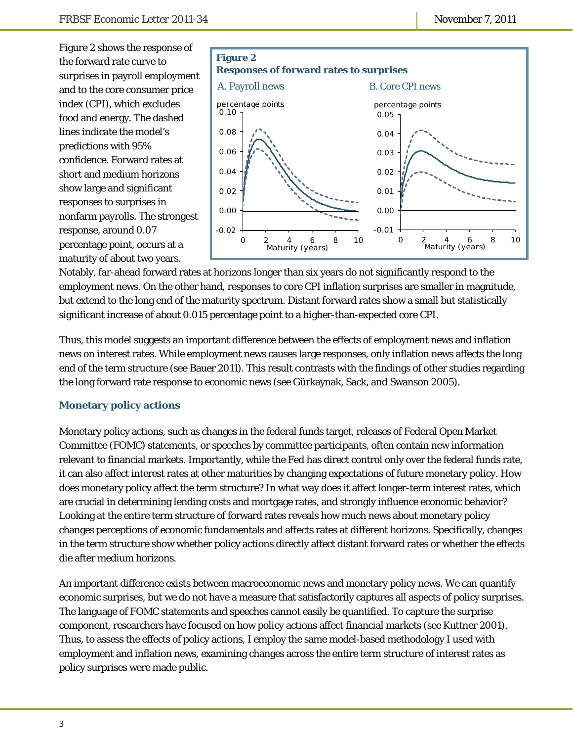Figure 2 shows the response of the forward rate curve to surprises in payroll employment and to the core consumer price index (CPI), which excludes food and energy. The dashed lines indicate the model's predictions with 95% confidence. Forward rates at short and medium horizons show large and significant responses to surprises in nonfarm payrolls. The strongest response, around 0.07 percentage point, occurs at a maturity of about two years.



Notably, far-ahead forward rates at horizons longer than six years do not significantly respond to the employment news. On the other hand, responses to core CPI inflation surprises are smaller in magnitude, but extend to the long end of the maturity spectrum. Distant forward rates show a small but statistically significant increase of about 0.015 percentage point to a higher-than-expected core CPI.

Thus, this model suggests an important difference between the effects of employment news and inflation news on interest rates. While employment news causes large responses, only inflation news affects the long end of the term structure (see Bauer 2011). This result contrasts with the findings of other studies regarding the long forward rate response to economic news (see Gürkaynak, Sack, and Swanson 2005).

## **Monetary policy actions**

Monetary policy actions, such as changes in the federal funds target, releases of Federal Open Market Committee (FOMC) statements, or speeches by committee participants, often contain new information relevant to financial markets. Importantly, while the Fed has direct control only over the federal funds rate, it can also affect interest rates at other maturities by changing expectations of future monetary policy. How does monetary policy affect the term structure? In what way does it affect longer-term interest rates, which are crucial in determining lending costs and mortgage rates, and strongly influence economic behavior? Looking at the entire term structure of forward rates reveals how much news about monetary policy changes perceptions of economic fundamentals and affects rates at different horizons. Specifically, changes in the term structure show whether policy actions directly affect distant forward rates or whether the effects die after medium horizons.

An important difference exists between macroeconomic news and monetary policy news. We can quantify economic surprises, but we do not have a measure that satisfactorily captures all aspects of policy surprises. The language of FOMC statements and speeches cannot easily be quantified. To capture the surprise component, researchers have focused on how policy actions affect financial markets (see Kuttner 2001). Thus, to assess the effects of policy actions, I employ the same model-based methodology I used with employment and inflation news, examining changes across the entire term structure of interest rates as policy surprises were made public.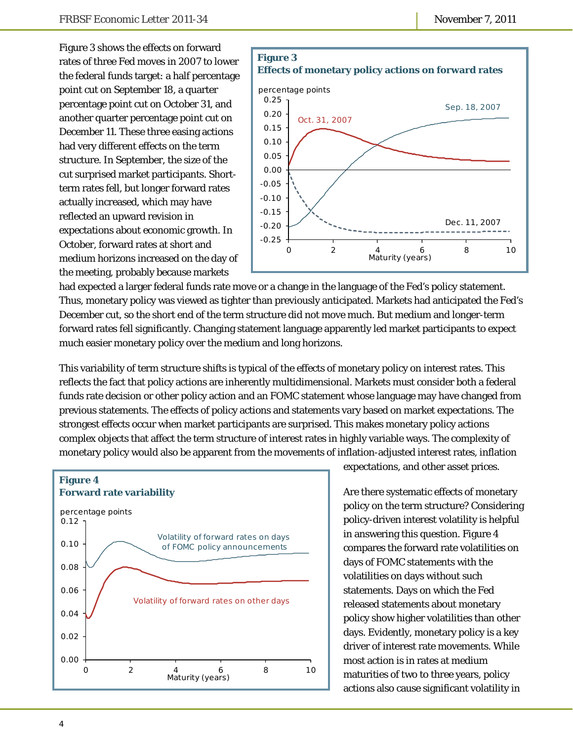Figure 3 shows the effects on forward rates of three Fed moves in 2007 to lower the federal funds target: a half percentage point cut on September 18, a quarter percentage point cut on October 31, and another quarter percentage point cut on December 11. These three easing actions had very different effects on the term structure. In September, the size of the cut surprised market participants. Shortterm rates fell, but longer forward rates actually increased, which may have reflected an upward revision in expectations about economic growth. In October, forward rates at short and medium horizons increased on the day of the meeting, probably because markets



had expected a larger federal funds rate move or a change in the language of the Fed's policy statement. Thus, monetary policy was viewed as tighter than previously anticipated. Markets had anticipated the Fed's December cut, so the short end of the term structure did not move much. But medium and longer-term forward rates fell significantly. Changing statement language apparently led market participants to expect much easier monetary policy over the medium and long horizons.

This variability of term structure shifts is typical of the effects of monetary policy on interest rates. This reflects the fact that policy actions are inherently multidimensional. Markets must consider both a federal funds rate decision or other policy action and an FOMC statement whose language may have changed from previous statements. The effects of policy actions and statements vary based on market expectations. The strongest effects occur when market participants are surprised. This makes monetary policy actions complex objects that affect the term structure of interest rates in highly variable ways. The complexity of monetary policy would also be apparent from the movements of inflation-adjusted interest rates, inflation



expectations, and other asset prices.

Are there systematic effects of monetary policy on the term structure? Considering policy-driven interest volatility is helpful in answering this question. Figure 4 compares the forward rate volatilities on days of FOMC statements with the volatilities on days without such statements. Days on which the Fed released statements about monetary policy show higher volatilities than other days. Evidently, monetary policy is a key driver of interest rate movements. While most action is in rates at medium maturities of two to three years, policy actions also cause significant volatility in